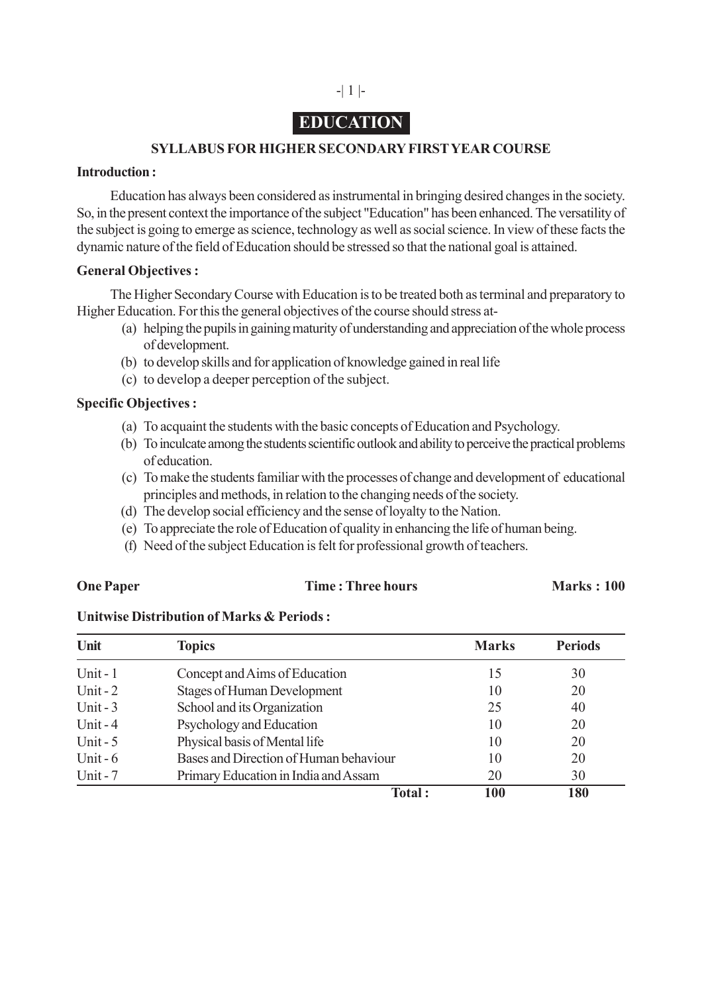## -| 1 |-

# **EDUCATION**

## **SYLLABUS FOR HIGHER SECONDARY FIRST YEAR COURSE**

### **Introduction :**

Education has always been considered as instrumental in bringing desired changes in the society. So, in the present context the importance of the subject "Education" has been enhanced. The versatility of the subject is going to emerge as science, technology as well as social science. In view of these facts the dynamic nature of the field of Education should be stressed so that the national goal is attained.

### **General Objectives :**

The Higher Secondary Course with Education is to be treated both as terminal and preparatory to Higher Education. For this the general objectives of the course should stress at-

- (a) helping the pupils in gaining maturity of understanding and appreciation of the whole process of development.
- (b) to develop skills and for application of knowledge gained in real life
- (c) to develop a deeper perception of the subject.

### **Specific Objectives :**

- (a) To acquaint the students with the basic concepts of Education and Psychology.
- (b) To inculcate among the students scientific outlook and ability to perceive the practical problems of education.
- (c) To make the students familiar with the processes of change and development of educational principles and methods, in relation to the changing needs of the society.
- (d) The develop social efficiency and the sense of loyalty to the Nation.
- (e) To appreciate the role of Education of quality in enhancing the life of human being.
- (f) Need of the subject Education is felt for professional growth of teachers.

#### **One Paper Time : Three hours Marks : 100**

### **Unitwise Distribution of Marks & Periods :**

| Unit                                                | <b>Topics</b>                        | <b>Marks</b> | <b>Periods</b> |
|-----------------------------------------------------|--------------------------------------|--------------|----------------|
| Unit - $1$                                          | Concept and Aims of Education        | 15           | 30             |
| <b>Stages of Human Development</b><br>Unit $-2$     |                                      | 10           | 20             |
| Unit $-3$                                           | School and its Organization          | 25           | 40             |
| Unit $-4$                                           | Psychology and Education             | 10           | 20             |
| Physical basis of Mental life<br>Unit $-5$          |                                      | 10           | 20             |
| Bases and Direction of Human behaviour<br>Unit $-6$ |                                      | 10           | 20             |
| Unit-7                                              | Primary Education in India and Assam | 20           | 30             |
|                                                     | Total:                               | 100          | 180            |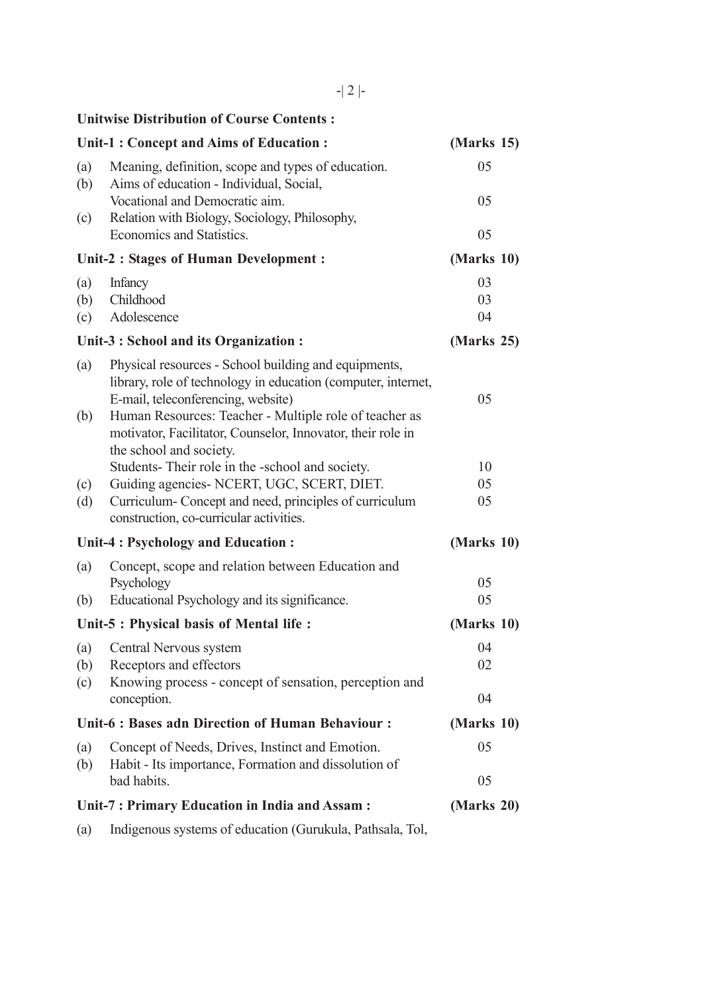-| 2 |-

## **Unitwise Distribution of Course Contents :**

|                                                   | <b>Unit-1: Concept and Aims of Education:</b>                                                                                                                                                                         | (Marks 15)     |
|---------------------------------------------------|-----------------------------------------------------------------------------------------------------------------------------------------------------------------------------------------------------------------------|----------------|
| (a)<br>(b)                                        | Meaning, definition, scope and types of education.<br>Aims of education - Individual, Social,                                                                                                                         | 05             |
|                                                   | Vocational and Democratic aim.                                                                                                                                                                                        | 05             |
| (c)                                               | Relation with Biology, Sociology, Philosophy,<br>Economics and Statistics.                                                                                                                                            | 05             |
| <b>Unit-2: Stages of Human Development:</b>       |                                                                                                                                                                                                                       | (Marks 10)     |
| (a)<br>(b)                                        | <b>Infancy</b><br>Childhood<br>Adolescence                                                                                                                                                                            | 03<br>03<br>04 |
| (c)                                               |                                                                                                                                                                                                                       |                |
|                                                   | Unit-3 : School and its Organization :                                                                                                                                                                                | (Marks 25)     |
| (a)<br>(b)                                        | Physical resources - School building and equipments,<br>library, role of technology in education (computer, internet,<br>E-mail, teleconferencing, website)<br>Human Resources: Teacher - Multiple role of teacher as | 05             |
|                                                   | motivator, Facilitator, Counselor, Innovator, their role in<br>the school and society.                                                                                                                                |                |
|                                                   | Students-Their role in the -school and society.                                                                                                                                                                       | 10<br>05       |
| (c)<br>(d)                                        | Guiding agencies- NCERT, UGC, SCERT, DIET.<br>Curriculum-Concept and need, principles of curriculum<br>construction, co-curricular activities.                                                                        | 05             |
| Unit-4 : Psychology and Education :               |                                                                                                                                                                                                                       | (Marks 10)     |
| (a)                                               | Concept, scope and relation between Education and<br>Psychology                                                                                                                                                       | 05             |
| (b)                                               | Educational Psychology and its significance.                                                                                                                                                                          | 05             |
| Unit-5 : Physical basis of Mental life :          |                                                                                                                                                                                                                       | (Marks 10)     |
| (a)                                               | Central Nervous system                                                                                                                                                                                                | 04             |
|                                                   | (b) Receptors and effectors                                                                                                                                                                                           | 02             |
| (c)                                               | Knowing process - concept of sensation, perception and<br>conception.                                                                                                                                                 | 04             |
| Unit-6 : Bases adn Direction of Human Behaviour : |                                                                                                                                                                                                                       | (Marks 10)     |
| (a)<br>(b)                                        | Concept of Needs, Drives, Instinct and Emotion.<br>Habit - Its importance, Formation and dissolution of                                                                                                               | 05             |
|                                                   | bad habits.                                                                                                                                                                                                           | 05             |
| Unit-7: Primary Education in India and Assam:     | (Marks 20)                                                                                                                                                                                                            |                |
| (a)                                               | Indigenous systems of education (Gurukula, Pathsala, Tol,                                                                                                                                                             |                |